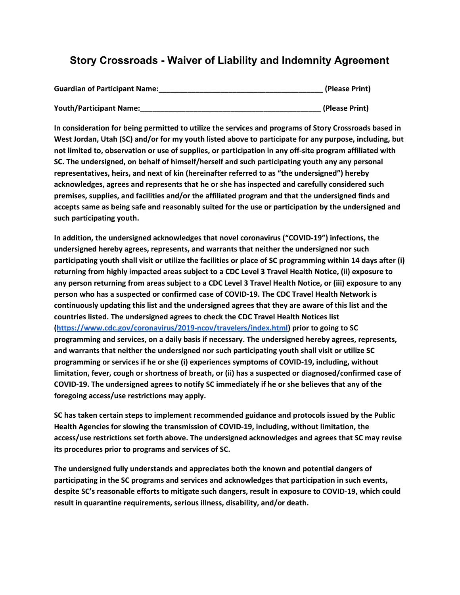## **Story Crossroads - Waiver of Liability and Indemnity Agreement**

| <b>Guardian of Participant Name:</b> | (Please Print) |
|--------------------------------------|----------------|
| <b>Youth/Participant Name:</b>       | (Please Print) |

**In consideration for being permitted to utilize the services and programs of Story Crossroads based in West Jordan, Utah (SC) and/or for my youth listed above to participate for any purpose, including, but not limited to, observation or use of supplies, or participation in any off-site program affiliated with SC. The undersigned, on behalf of himself/herself and such participating youth any any personal representatives, heirs, and next of kin (hereinafter referred to as "the undersigned") hereby acknowledges, agrees and represents that he or she has inspected and carefully considered such premises, supplies, and facilities and/or the affiliated program and that the undersigned finds and accepts same as being safe and reasonably suited for the use or participation by the undersigned and such participating youth.**

**In addition, the undersigned acknowledges that novel coronavirus ("COVID-19") infections, the undersigned hereby agrees, represents, and warrants that neither the undersigned nor such** participating youth shall visit or utilize the facilities or place of SC programming within 14 days after (i) **returning from highly impacted areas subject to a CDC Level 3 Travel Health Notice, (ii) exposure to** any person returning from areas subject to a CDC Level 3 Travel Health Notice, or (iii) exposure to any **person who has a suspected or confirmed case of COVID-19. The CDC Travel Health Network is continuously updating this list and the undersigned agrees that they are aware of this list and the countries listed. The undersigned agrees to check the CDC Travel Health Notices list (<https://www.cdc.gov/coronavirus/2019-ncov/travelers/index.html>) prior to going to SC programming and services, on a daily basis if necessary. The undersigned hereby agrees, represents, and warrants that neither the undersigned nor such participating youth shall visit or utilize SC programming or services if he or she (i) experiences symptoms of COVID-19, including, without limitation, fever, cough or shortness of breath, or (ii) has a suspected or diagnosed/confirmed case of COVID-19. The undersigned agrees to notify SC immediately if he or she believes that any of the foregoing access/use restrictions may apply.**

**SC has taken certain steps to implement recommended guidance and protocols issued by the Public Health Agencies for slowing the transmission of COVID-19, including, without limitation, the access/use restrictions set forth above. The undersigned acknowledges and agrees that SC may revise its procedures prior to programs and services of SC.**

**The undersigned fully understands and appreciates both the known and potential dangers of participating in the SC programs and services and acknowledges that participation in such events, despite SC's reasonable efforts to mitigate such dangers, result in exposure to COVID-19, which could result in quarantine requirements, serious illness, disability, and/or death.**